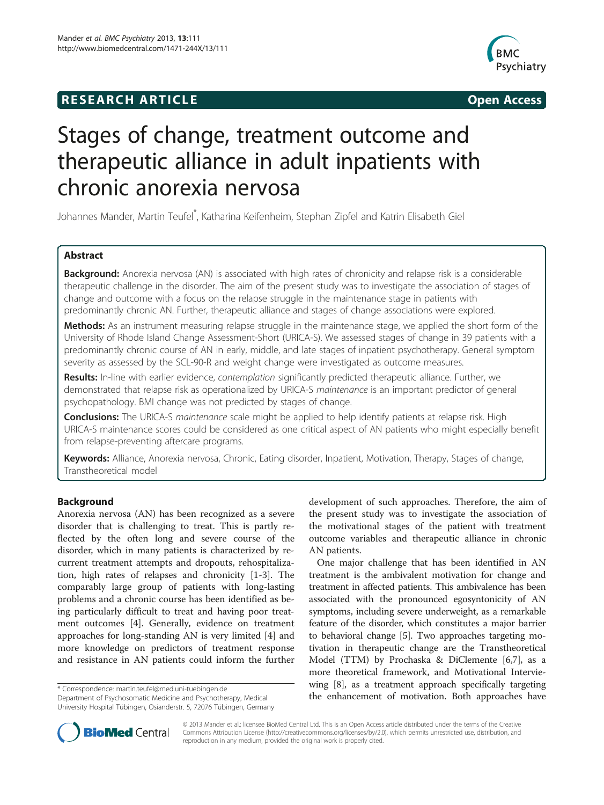## **RESEARCH ARTICLE Example 2014 The SEAR CH ACCESS**



# Stages of change, treatment outcome and therapeutic alliance in adult inpatients with chronic anorexia nervosa

Johannes Mander, Martin Teufel\* , Katharina Keifenheim, Stephan Zipfel and Katrin Elisabeth Giel

## Abstract

Background: Anorexia nervosa (AN) is associated with high rates of chronicity and relapse risk is a considerable therapeutic challenge in the disorder. The aim of the present study was to investigate the association of stages of change and outcome with a focus on the relapse struggle in the maintenance stage in patients with predominantly chronic AN. Further, therapeutic alliance and stages of change associations were explored.

Methods: As an instrument measuring relapse struggle in the maintenance stage, we applied the short form of the University of Rhode Island Change Assessment-Short (URICA-S). We assessed stages of change in 39 patients with a predominantly chronic course of AN in early, middle, and late stages of inpatient psychotherapy. General symptom severity as assessed by the SCL-90-R and weight change were investigated as outcome measures.

Results: In-line with earlier evidence, contemplation significantly predicted therapeutic alliance. Further, we demonstrated that relapse risk as operationalized by URICA-S maintenance is an important predictor of general psychopathology. BMI change was not predicted by stages of change.

Conclusions: The URICA-S maintenance scale might be applied to help identify patients at relapse risk. High URICA-S maintenance scores could be considered as one critical aspect of AN patients who might especially benefit from relapse-preventing aftercare programs.

Keywords: Alliance, Anorexia nervosa, Chronic, Eating disorder, Inpatient, Motivation, Therapy, Stages of change, Transtheoretical model

## Background

Anorexia nervosa (AN) has been recognized as a severe disorder that is challenging to treat. This is partly reflected by the often long and severe course of the disorder, which in many patients is characterized by recurrent treatment attempts and dropouts, rehospitalization, high rates of relapses and chronicity [\[1](#page-6-0)-[3\]](#page-6-0). The comparably large group of patients with long-lasting problems and a chronic course has been identified as being particularly difficult to treat and having poor treatment outcomes [\[4](#page-6-0)]. Generally, evidence on treatment approaches for long-standing AN is very limited [[4\]](#page-6-0) and more knowledge on predictors of treatment response and resistance in AN patients could inform the further

Department of Psychosomatic Medicine and Psychotherapy, Medical University Hospital Tübingen, Osianderstr. 5, 72076 Tübingen, Germany development of such approaches. Therefore, the aim of the present study was to investigate the association of the motivational stages of the patient with treatment outcome variables and therapeutic alliance in chronic AN patients.

One major challenge that has been identified in AN treatment is the ambivalent motivation for change and treatment in affected patients. This ambivalence has been associated with the pronounced egosyntonicity of AN symptoms, including severe underweight, as a remarkable feature of the disorder, which constitutes a major barrier to behavioral change [\[5](#page-6-0)]. Two approaches targeting motivation in therapeutic change are the Transtheoretical Model (TTM) by Prochaska & DiClemente [[6,7](#page-6-0)], as a more theoretical framework, and Motivational Interviewing [[8\]](#page-6-0), as a treatment approach specifically targeting the enhancement of Psychosomatic Medicine and Psychotherapy, Medical<br>Department of psychosomatic Medicine and Psychotherapy, Medical **the enhancement of motivation. Both approaches have** 



© 2013 Mander et al.; licensee BioMed Central Ltd. This is an Open Access article distributed under the terms of the Creative Commons Attribution License [\(http://creativecommons.org/licenses/by/2.0\)](http://creativecommons.org/licenses/by/2.0), which permits unrestricted use, distribution, and reproduction in any medium, provided the original work is properly cited.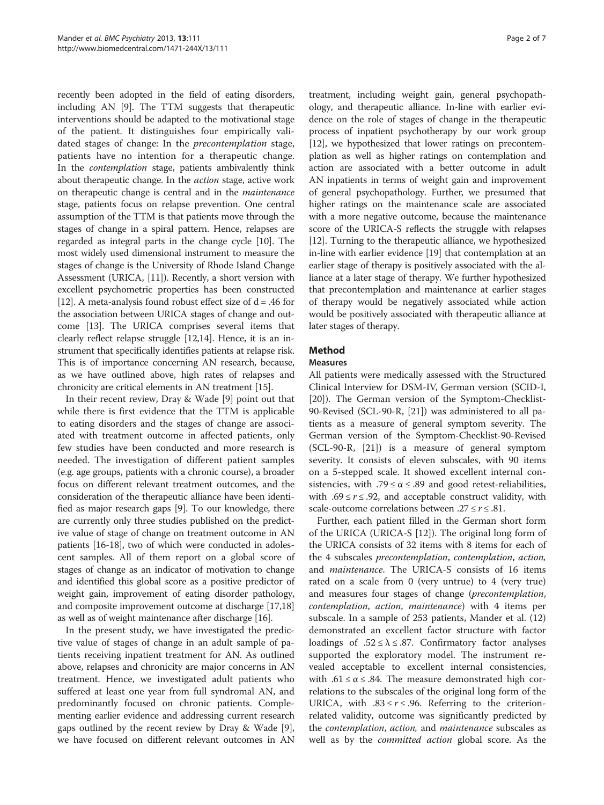recently been adopted in the field of eating disorders, including AN [\[9](#page-6-0)]. The TTM suggests that therapeutic interventions should be adapted to the motivational stage of the patient. It distinguishes four empirically validated stages of change: In the *precontemplation* stage, patients have no intention for a therapeutic change. In the *contemplation* stage, patients ambivalently think about therapeutic change. In the action stage, active work on therapeutic change is central and in the maintenance stage, patients focus on relapse prevention. One central assumption of the TTM is that patients move through the stages of change in a spiral pattern. Hence, relapses are regarded as integral parts in the change cycle [[10](#page-6-0)]. The most widely used dimensional instrument to measure the stages of change is the University of Rhode Island Change Assessment (URICA, [\[11](#page-6-0)]). Recently, a short version with excellent psychometric properties has been constructed [[12](#page-6-0)]. A meta-analysis found robust effect size of  $d = .46$  for the association between URICA stages of change and outcome [[13](#page-6-0)]. The URICA comprises several items that clearly reflect relapse struggle [[12](#page-6-0),[14](#page-6-0)]. Hence, it is an instrument that specifically identifies patients at relapse risk. This is of importance concerning AN research, because, as we have outlined above, high rates of relapses and chronicity are critical elements in AN treatment [[15](#page-6-0)].

In their recent review, Dray & Wade [\[9](#page-6-0)] point out that while there is first evidence that the TTM is applicable to eating disorders and the stages of change are associated with treatment outcome in affected patients, only few studies have been conducted and more research is needed. The investigation of different patient samples (e.g. age groups, patients with a chronic course), a broader focus on different relevant treatment outcomes, and the consideration of the therapeutic alliance have been identified as major research gaps [\[9](#page-6-0)]. To our knowledge, there are currently only three studies published on the predictive value of stage of change on treatment outcome in AN patients [[16](#page-6-0)-[18](#page-6-0)], two of which were conducted in adolescent samples. All of them report on a global score of stages of change as an indicator of motivation to change and identified this global score as a positive predictor of weight gain, improvement of eating disorder pathology, and composite improvement outcome at discharge [\[17,18](#page-6-0)] as well as of weight maintenance after discharge [\[16\]](#page-6-0).

In the present study, we have investigated the predictive value of stages of change in an adult sample of patients receiving inpatient treatment for AN. As outlined above, relapses and chronicity are major concerns in AN treatment. Hence, we investigated adult patients who suffered at least one year from full syndromal AN, and predominantly focused on chronic patients. Complementing earlier evidence and addressing current research gaps outlined by the recent review by Dray & Wade [[9](#page-6-0)], we have focused on different relevant outcomes in AN

treatment, including weight gain, general psychopathology, and therapeutic alliance. In-line with earlier evidence on the role of stages of change in the therapeutic process of inpatient psychotherapy by our work group [[12](#page-6-0)], we hypothesized that lower ratings on precontemplation as well as higher ratings on contemplation and action are associated with a better outcome in adult AN inpatients in terms of weight gain and improvement of general psychopathology. Further, we presumed that higher ratings on the maintenance scale are associated with a more negative outcome, because the maintenance score of the URICA-S reflects the struggle with relapses [[12](#page-6-0)]. Turning to the therapeutic alliance, we hypothesized in-line with earlier evidence [\[19\]](#page-6-0) that contemplation at an earlier stage of therapy is positively associated with the alliance at a later stage of therapy. We further hypothesized that precontemplation and maintenance at earlier stages of therapy would be negatively associated while action would be positively associated with therapeutic alliance at later stages of therapy.

## Method

#### Measures

All patients were medically assessed with the Structured Clinical Interview for DSM-IV, German version (SCID-I, [[20\]](#page-6-0)). The German version of the Symptom-Checklist-90-Revised (SCL-90-R, [\[21](#page-6-0)]) was administered to all patients as a measure of general symptom severity. The German version of the Symptom-Checklist-90-Revised (SCL-90-R, [[21](#page-6-0)]) is a measure of general symptom severity. It consists of eleven subscales, with 90 items on a 5-stepped scale. It showed excellent internal consistencies, with .79  $\le \alpha \le .89$  and good retest-reliabilities, with .69  $\le r \le .92$ , and acceptable construct validity, with scale-outcome correlations between  $.27 \le r \le .81$ .

Further, each patient filled in the German short form of the URICA (URICA-S [[12](#page-6-0)]). The original long form of the URICA consists of 32 items with 8 items for each of the 4 subscales precontemplation, contemplation, action, and maintenance. The URICA-S consists of 16 items rated on a scale from 0 (very untrue) to 4 (very true) and measures four stages of change (precontemplation, contemplation, action, maintenance) with 4 items per subscale. In a sample of 253 patients, Mander et al. (12) demonstrated an excellent factor structure with factor loadings of .52  $\le \lambda \le .87$ . Confirmatory factor analyses supported the exploratory model. The instrument revealed acceptable to excellent internal consistencies, with .61  $\le \alpha \le$  .84. The measure demonstrated high correlations to the subscales of the original long form of the URICA, with .83  $\le r \le .96$ . Referring to the criterionrelated validity, outcome was significantly predicted by the contemplation, action, and maintenance subscales as well as by the *committed action* global score. As the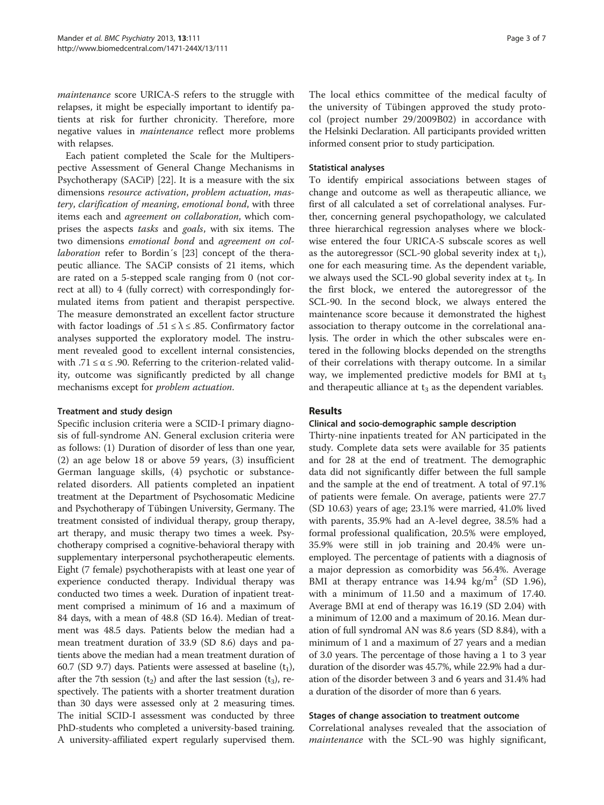maintenance score URICA-S refers to the struggle with relapses, it might be especially important to identify patients at risk for further chronicity. Therefore, more negative values in maintenance reflect more problems with relapses.

Each patient completed the Scale for the Multiperspective Assessment of General Change Mechanisms in Psychotherapy (SACiP) [[22](#page-6-0)]. It is a measure with the six dimensions resource activation, problem actuation, mastery, clarification of meaning, emotional bond, with three items each and agreement on collaboration, which comprises the aspects tasks and goals, with six items. The two dimensions emotional bond and agreement on collaboration refer to Bordin´s [\[23](#page-6-0)] concept of the therapeutic alliance. The SACiP consists of 21 items, which are rated on a 5-stepped scale ranging from 0 (not correct at all) to 4 (fully correct) with correspondingly formulated items from patient and therapist perspective. The measure demonstrated an excellent factor structure with factor loadings of  $.51 \le \lambda \le .85$ . Confirmatory factor analyses supported the exploratory model. The instrument revealed good to excellent internal consistencies, with  $.71 \le \alpha \le .90$ . Referring to the criterion-related validity, outcome was significantly predicted by all change mechanisms except for problem actuation.

## Treatment and study design

Specific inclusion criteria were a SCID-I primary diagnosis of full-syndrome AN. General exclusion criteria were as follows: (1) Duration of disorder of less than one year, (2) an age below 18 or above 59 years, (3) insufficient German language skills, (4) psychotic or substancerelated disorders. All patients completed an inpatient treatment at the Department of Psychosomatic Medicine and Psychotherapy of Tübingen University, Germany. The treatment consisted of individual therapy, group therapy, art therapy, and music therapy two times a week. Psychotherapy comprised a cognitive-behavioral therapy with supplementary interpersonal psychotherapeutic elements. Eight (7 female) psychotherapists with at least one year of experience conducted therapy. Individual therapy was conducted two times a week. Duration of inpatient treatment comprised a minimum of 16 and a maximum of 84 days, with a mean of 48.8 (SD 16.4). Median of treatment was 48.5 days. Patients below the median had a mean treatment duration of 33.9 (SD 8.6) days and patients above the median had a mean treatment duration of 60.7 (SD 9.7) days. Patients were assessed at baseline  $(t_1)$ , after the 7th session  $(t_2)$  and after the last session  $(t_3)$ , respectively. The patients with a shorter treatment duration than 30 days were assessed only at 2 measuring times. The initial SCID-I assessment was conducted by three PhD-students who completed a university-based training. A university-affiliated expert regularly supervised them.

The local ethics committee of the medical faculty of the university of Tübingen approved the study protocol (project number 29/2009B02) in accordance with the Helsinki Declaration. All participants provided written informed consent prior to study participation.

#### Statistical analyses

To identify empirical associations between stages of change and outcome as well as therapeutic alliance, we first of all calculated a set of correlational analyses. Further, concerning general psychopathology, we calculated three hierarchical regression analyses where we blockwise entered the four URICA-S subscale scores as well as the autoregressor (SCL-90 global severity index at  $t_1$ ), one for each measuring time. As the dependent variable, we always used the SCL-90 global severity index at  $t_3$ . In the first block, we entered the autoregressor of the SCL-90. In the second block, we always entered the maintenance score because it demonstrated the highest association to therapy outcome in the correlational analysis. The order in which the other subscales were entered in the following blocks depended on the strengths of their correlations with therapy outcome. In a similar way, we implemented predictive models for BMI at  $t_3$ and therapeutic alliance at  $t_3$  as the dependent variables.

## Results

## Clinical and socio-demographic sample description

Thirty-nine inpatients treated for AN participated in the study. Complete data sets were available for 35 patients and for 28 at the end of treatment. The demographic data did not significantly differ between the full sample and the sample at the end of treatment. A total of 97.1% of patients were female. On average, patients were 27.7 (SD 10.63) years of age; 23.1% were married, 41.0% lived with parents, 35.9% had an A-level degree, 38.5% had a formal professional qualification, 20.5% were employed, 35.9% were still in job training and 20.4% were unemployed. The percentage of patients with a diagnosis of a major depression as comorbidity was 56.4%. Average BMI at therapy entrance was  $14.94 \text{ kg/m}^2$  (SD 1.96), with a minimum of 11.50 and a maximum of 17.40. Average BMI at end of therapy was 16.19 (SD 2.04) with a minimum of 12.00 and a maximum of 20.16. Mean duration of full syndromal AN was 8.6 years (SD 8.84), with a minimum of 1 and a maximum of 27 years and a median of 3.0 years. The percentage of those having a 1 to 3 year duration of the disorder was 45.7%, while 22.9% had a duration of the disorder between 3 and 6 years and 31.4% had a duration of the disorder of more than 6 years.

## Stages of change association to treatment outcome

Correlational analyses revealed that the association of maintenance with the SCL-90 was highly significant,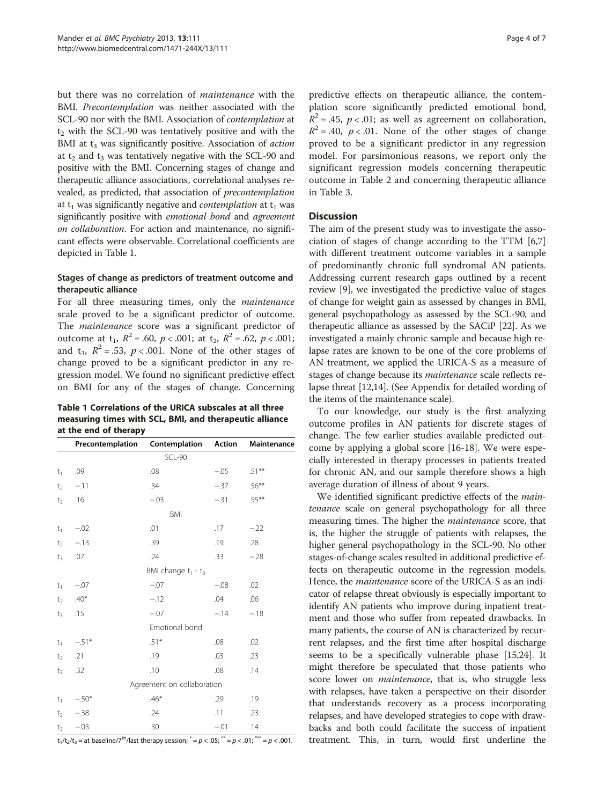but there was no correlation of maintenance with the BMI. Precontemplation was neither associated with the SCL-90 nor with the BMI. Association of contemplation at  $t_2$  with the SCL-90 was tentatively positive and with the BMI at  $t_3$  was significantly positive. Association of *action* at  $t_2$  and  $t_3$  was tentatively negative with the SCL-90 and positive with the BMI. Concerning stages of change and therapeutic alliance associations, correlational analyses revealed, as predicted, that association of precontemplation at  $t_1$  was significantly negative and *contemplation* at  $t_1$  was significantly positive with emotional bond and agreement on collaboration. For action and maintenance, no significant effects were observable. Correlational coefficients are depicted in Table 1.

## Stages of change as predictors of treatment outcome and therapeutic alliance

For all three measuring times, only the maintenance scale proved to be a significant predictor of outcome. The maintenance score was a significant predictor of outcome at  $t_1$ ,  $R^2 = .60$ ,  $p < .001$ ; at  $t_2$ ,  $R^2 = .62$ ,  $p < .001$ ; and  $t_3$ ,  $R^2 = .53$ ,  $p < .001$ . None of the other stages of change proved to be a significant predictor in any regression model. We found no significant predictive effect on BMI for any of the stages of change. Concerning

Table 1 Correlations of the URICA subscales at all three measuring times with SCL, BMI, and therapeutic alliance at the end of therapy

|                | Precontemplation | Contemplation              | Action | Maintenance |
|----------------|------------------|----------------------------|--------|-------------|
|                |                  | SCL-90                     |        |             |
| $t_1$          | .09              | .08                        | $-.05$ | $.51***$    |
| t <sub>2</sub> | $-.11$           | .34                        | $-.37$ | $.56***$    |
| $t_3$          | .16              | $-.03$                     | $-.31$ | $.55***$    |
|                |                  | <b>BMI</b>                 |        |             |
| $t_1$          | $-.02$           | .01                        | .17    | $-.22$      |
| t <sub>2</sub> | $-.13$           | .39                        | .19    | .28         |
| $t_3$          | .07              | .24                        | .33    | $-.28$      |
|                |                  | BMI change $t_1 - t_3$     |        |             |
| $t_1$          | $-07$            | $-07$                      | $-.08$ | .02         |
| t <sub>2</sub> | $.40*$           | $-.12$                     | .04    | .06         |
| $t_3$          | .15              | $-.07$                     | $-.14$ | $-.18$      |
|                |                  | Emotional bond             |        |             |
| $t_1$          | $-.51*$          | $.51*$                     | .08    | .02         |
| t <sub>2</sub> | .21              | .19                        | .03    | .23         |
| $t_3$          | .32              | .10                        | .08    | .14         |
|                |                  | Agreement on collaboration |        |             |
| $t_1$          | $-.50*$          | $.46*$                     | .29    | .19         |
| t <sub>2</sub> | $-.38$           | .24                        | .11    | .23         |
| $t_3$          | $-03$            | .30                        | $-01$  | .14         |

 $t_1/t_2/t_3 =$  at baseline/7<sup>th</sup>/last therapy session;  $\bar{p} = p < .05$ ;  $\bar{p} = p < .01$ ;  $\bar{p} = p < .001$ .

predictive effects on therapeutic alliance, the contemplation score significantly predicted emotional bond,  $R^2 = .45$ ,  $p < .01$ ; as well as agreement on collaboration,  $R^2 = .40$ ,  $p < .01$ . None of the other stages of change proved to be a significant predictor in any regression model. For parsimonious reasons, we report only the significant regression models concerning therapeutic outcome in Table [2](#page-4-0) and concerning therapeutic alliance in Table [3.](#page-4-0)

## **Discussion**

The aim of the present study was to investigate the association of stages of change according to the TTM [\[6,7](#page-6-0)] with different treatment outcome variables in a sample of predominantly chronic full syndromal AN patients. Addressing current research gaps outlined by a recent review [[9\]](#page-6-0), we investigated the predictive value of stages of change for weight gain as assessed by changes in BMI, general psychopathology as assessed by the SCL-90, and therapeutic alliance as assessed by the SACiP [\[22\]](#page-6-0). As we investigated a mainly chronic sample and because high relapse rates are known to be one of the core problems of AN treatment, we applied the URICA-S as a measure of stages of change because its *maintenance* scale reflects relapse threat [[12,14](#page-6-0)]. (See [Appendix](#page-5-0) for detailed wording of the items of the maintenance scale).

To our knowledge, our study is the first analyzing outcome profiles in AN patients for discrete stages of change. The few earlier studies available predicted outcome by applying a global score [[16-18\]](#page-6-0). We were especially interested in therapy processes in patients treated for chronic AN, and our sample therefore shows a high average duration of illness of about 9 years.

We identified significant predictive effects of the *main*tenance scale on general psychopathology for all three measuring times. The higher the *maintenance* score, that is, the higher the struggle of patients with relapses, the higher general psychopathology in the SCL-90. No other stages-of-change scales resulted in additional predictive effects on therapeutic outcome in the regression models. Hence, the *maintenance* score of the URICA-S as an indicator of relapse threat obviously is especially important to identify AN patients who improve during inpatient treatment and those who suffer from repeated drawbacks. In many patients, the course of AN is characterized by recurrent relapses, and the first time after hospital discharge seems to be a specifically vulnerable phase [\[15,24\]](#page-6-0). It might therefore be speculated that those patients who score lower on maintenance, that is, who struggle less with relapses, have taken a perspective on their disorder that understands recovery as a process incorporating relapses, and have developed strategies to cope with drawbacks and both could facilitate the success of inpatient treatment. This, in turn, would first underline the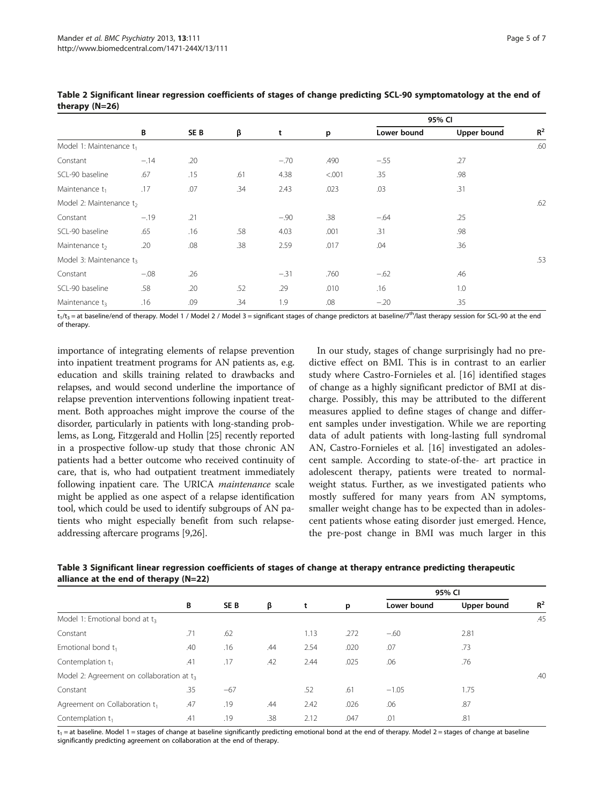|                                     |        | SE B |     |        |        | 95% CI      |                    |       |
|-------------------------------------|--------|------|-----|--------|--------|-------------|--------------------|-------|
|                                     | B      |      | β   | t      | p      | Lower bound | <b>Upper bound</b> | $R^2$ |
| Model 1: Maintenance t <sub>1</sub> |        |      |     |        |        |             |                    | .60   |
| Constant                            | $-.14$ | .20  |     | $-.70$ | .490   | $-.55$      | .27                |       |
| SCL-90 baseline                     | .67    | .15  | .61 | 4.38   | < .001 | .35         | .98                |       |
| Maintenance $t_1$                   | .17    | .07  | .34 | 2.43   | .023   | .03         | .31                |       |
| Model 2: Maintenance t <sub>2</sub> |        |      |     |        |        |             | .62                |       |
| Constant                            | $-.19$ | .21  |     | $-.90$ | .38    | $-.64$      | .25                |       |
| SCL-90 baseline                     | .65    | .16  | .58 | 4.03   | .001   | .31         | .98                |       |
| Maintenance $t_2$                   | .20    | .08  | .38 | 2.59   | .017   | .04         | .36                |       |
| Model 3: Maintenance t <sub>3</sub> |        |      |     |        |        |             |                    | .53   |
| Constant                            | $-.08$ | .26  |     | $-.31$ | .760   | $-.62$      | .46                |       |
| SCL-90 baseline                     | .58    | .20  | .52 | .29    | .010   | .16         | 1.0                |       |
| Maintenance t <sub>3</sub>          | .16    | .09  | .34 | 1.9    | .08    | $-.20$      | .35                |       |

<span id="page-4-0"></span>Table 2 Significant linear regression coefficients of stages of change predicting SCL-90 symptomatology at the end of therapy (N=26)

 $t_1/t_3$  = at baseline/end of therapy. Model 1 / Model 2 / Model 3 = significant stages of change predictors at baseline/7<sup>th</sup>/last therapy session for SCL-90 at the end of therapy.

importance of integrating elements of relapse prevention into inpatient treatment programs for AN patients as, e.g. education and skills training related to drawbacks and relapses, and would second underline the importance of relapse prevention interventions following inpatient treatment. Both approaches might improve the course of the disorder, particularly in patients with long-standing problems, as Long, Fitzgerald and Hollin [\[25](#page-6-0)] recently reported in a prospective follow-up study that those chronic AN patients had a better outcome who received continuity of care, that is, who had outpatient treatment immediately following inpatient care. The URICA maintenance scale might be applied as one aspect of a relapse identification tool, which could be used to identify subgroups of AN patients who might especially benefit from such relapseaddressing aftercare programs [[9,26](#page-6-0)].

In our study, stages of change surprisingly had no predictive effect on BMI. This is in contrast to an earlier study where Castro-Fornieles et al. [\[16\]](#page-6-0) identified stages of change as a highly significant predictor of BMI at discharge. Possibly, this may be attributed to the different measures applied to define stages of change and different samples under investigation. While we are reporting data of adult patients with long-lasting full syndromal AN, Castro-Fornieles et al. [[16](#page-6-0)] investigated an adolescent sample. According to state-of-the- art practice in adolescent therapy, patients were treated to normalweight status. Further, as we investigated patients who mostly suffered for many years from AN symptoms, smaller weight change has to be expected than in adolescent patients whose eating disorder just emerged. Hence, the pre-post change in BMI was much larger in this

|                                              |     |                 |     |      |      | 95% CI      |             |                |
|----------------------------------------------|-----|-----------------|-----|------|------|-------------|-------------|----------------|
|                                              | В   | SE <sub>B</sub> | β   | t    | p    | Lower bound | Upper bound | R <sup>2</sup> |
| Model 1: Emotional bond at $t_3$             |     |                 |     |      |      |             |             | .45            |
| Constant                                     | .71 | .62             |     | 1.13 | .272 | $-.60$      | 2.81        |                |
| Emotional bond $t_1$                         | .40 | .16             | .44 | 2.54 | .020 | .07         | .73         |                |
| Contemplation $t_1$                          | .41 | .17             | .42 | 2.44 | .025 | .06         | .76         |                |
| Model 2: Agreement on collaboration at $t_3$ |     |                 |     |      |      |             |             | .40            |
| Constant                                     | .35 | $-67$           |     | .52  | .61  | $-1.05$     | 1.75        |                |
| Agreement on Collaboration t <sub>1</sub>    | .47 | .19             | .44 | 2.42 | .026 | .06         | .87         |                |
| Contemplation $t_1$                          | .41 | .19             | .38 | 2.12 | .047 | .01         | .81         |                |

Table 3 Significant linear regression coefficients of stages of change at therapy entrance predicting therapeutic alliance at the end of therapy (N=22)

 $t_1$  = at baseline. Model 1 = stages of change at baseline significantly predicting emotional bond at the end of therapy. Model 2 = stages of change at baseline significantly predicting agreement on collaboration at the end of therapy.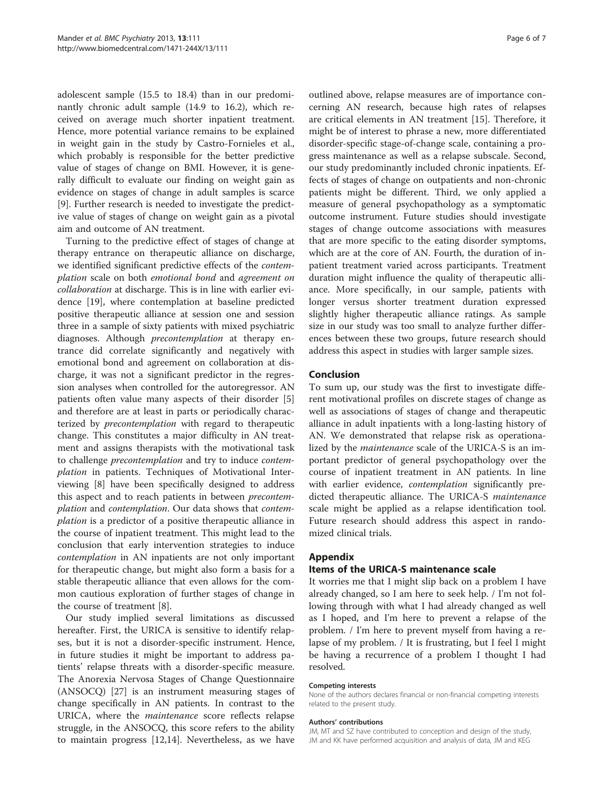<span id="page-5-0"></span>adolescent sample (15.5 to 18.4) than in our predominantly chronic adult sample (14.9 to 16.2), which received on average much shorter inpatient treatment. Hence, more potential variance remains to be explained in weight gain in the study by Castro-Fornieles et al., which probably is responsible for the better predictive value of stages of change on BMI. However, it is generally difficult to evaluate our finding on weight gain as evidence on stages of change in adult samples is scarce [[9\]](#page-6-0). Further research is needed to investigate the predictive value of stages of change on weight gain as a pivotal aim and outcome of AN treatment.

Turning to the predictive effect of stages of change at therapy entrance on therapeutic alliance on discharge, we identified significant predictive effects of the contemplation scale on both emotional bond and agreement on collaboration at discharge. This is in line with earlier evidence [[19](#page-6-0)], where contemplation at baseline predicted positive therapeutic alliance at session one and session three in a sample of sixty patients with mixed psychiatric diagnoses. Although precontemplation at therapy entrance did correlate significantly and negatively with emotional bond and agreement on collaboration at discharge, it was not a significant predictor in the regression analyses when controlled for the autoregressor. AN patients often value many aspects of their disorder [\[5](#page-6-0)] and therefore are at least in parts or periodically characterized by precontemplation with regard to therapeutic change. This constitutes a major difficulty in AN treatment and assigns therapists with the motivational task to challenge precontemplation and try to induce contemplation in patients. Techniques of Motivational Interviewing [[8\]](#page-6-0) have been specifically designed to address this aspect and to reach patients in between precontemplation and contemplation. Our data shows that contemplation is a predictor of a positive therapeutic alliance in the course of inpatient treatment. This might lead to the conclusion that early intervention strategies to induce contemplation in AN inpatients are not only important for therapeutic change, but might also form a basis for a stable therapeutic alliance that even allows for the common cautious exploration of further stages of change in the course of treatment [\[8](#page-6-0)].

Our study implied several limitations as discussed hereafter. First, the URICA is sensitive to identify relapses, but it is not a disorder-specific instrument. Hence, in future studies it might be important to address patients' relapse threats with a disorder-specific measure. The Anorexia Nervosa Stages of Change Questionnaire (ANSOCQ) [[27](#page-6-0)] is an instrument measuring stages of change specifically in AN patients. In contrast to the URICA, where the *maintenance* score reflects relapse struggle, in the ANSOCQ, this score refers to the ability to maintain progress [[12](#page-6-0),[14](#page-6-0)]. Nevertheless, as we have

outlined above, relapse measures are of importance concerning AN research, because high rates of relapses are critical elements in AN treatment [\[15](#page-6-0)]. Therefore, it might be of interest to phrase a new, more differentiated disorder-specific stage-of-change scale, containing a progress maintenance as well as a relapse subscale. Second, our study predominantly included chronic inpatients. Effects of stages of change on outpatients and non-chronic patients might be different. Third, we only applied a measure of general psychopathology as a symptomatic outcome instrument. Future studies should investigate stages of change outcome associations with measures that are more specific to the eating disorder symptoms, which are at the core of AN. Fourth, the duration of inpatient treatment varied across participants. Treatment duration might influence the quality of therapeutic alliance. More specifically, in our sample, patients with longer versus shorter treatment duration expressed slightly higher therapeutic alliance ratings. As sample size in our study was too small to analyze further differences between these two groups, future research should address this aspect in studies with larger sample sizes.

#### Conclusion

To sum up, our study was the first to investigate different motivational profiles on discrete stages of change as well as associations of stages of change and therapeutic alliance in adult inpatients with a long-lasting history of AN. We demonstrated that relapse risk as operationalized by the maintenance scale of the URICA-S is an important predictor of general psychopathology over the course of inpatient treatment in AN patients. In line with earlier evidence, contemplation significantly predicted therapeutic alliance. The URICA-S maintenance scale might be applied as a relapse identification tool. Future research should address this aspect in randomized clinical trials.

#### Appendix

## Items of the URICA-S maintenance scale

It worries me that I might slip back on a problem I have already changed, so I am here to seek help. / I'm not following through with what I had already changed as well as I hoped, and I'm here to prevent a relapse of the problem. / I'm here to prevent myself from having a relapse of my problem. / It is frustrating, but I feel I might be having a recurrence of a problem I thought I had resolved.

#### Competing interests

None of the authors declares financial or non-financial competing interests related to the present study.

#### Authors' contributions

JM, MT and SZ have contributed to conception and design of the study, JM and KK have performed acquisition and analysis of data, JM and KEG